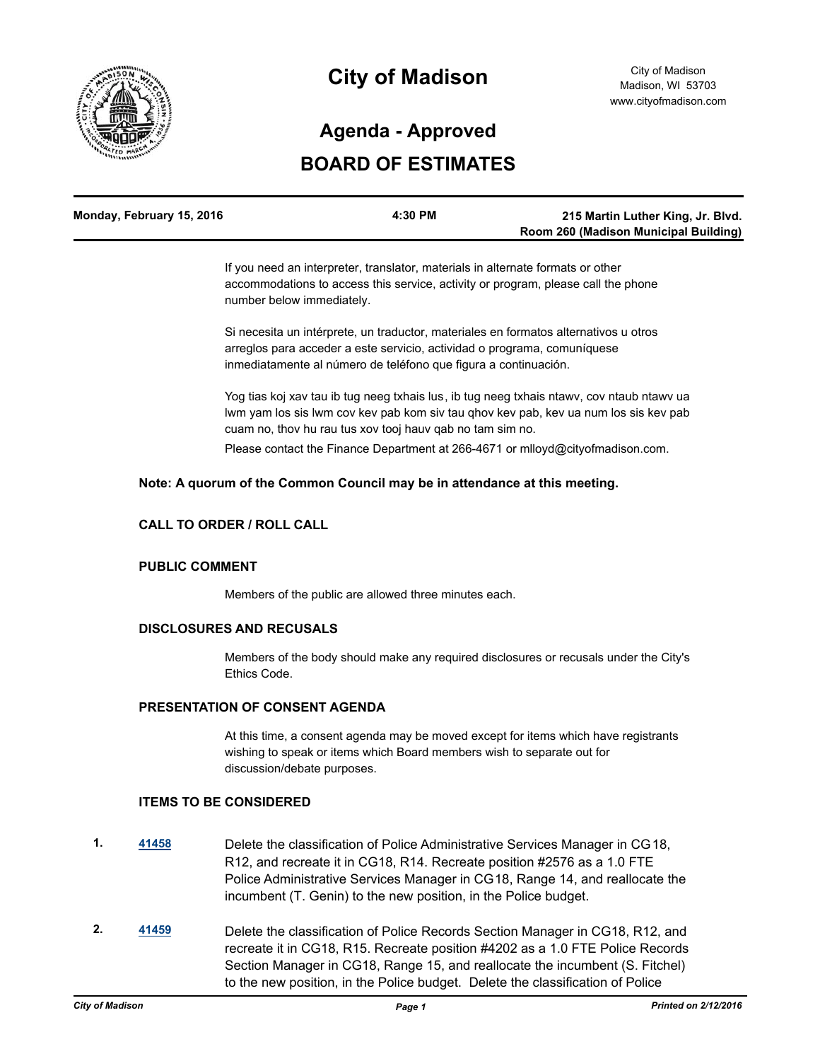

# **City of Madison**

# **BOARD OF ESTIMATES Agenda - Approved**

| Monday, February 15, 2016 | 4:30 PM | 215 Martin Luther King, Jr. Blvd.     |
|---------------------------|---------|---------------------------------------|
|                           |         | Room 260 (Madison Municipal Building) |

If you need an interpreter, translator, materials in alternate formats or other accommodations to access this service, activity or program, please call the phone number below immediately.

Si necesita un intérprete, un traductor, materiales en formatos alternativos u otros arreglos para acceder a este servicio, actividad o programa, comuníquese inmediatamente al número de teléfono que figura a continuación.

Yog tias koj xav tau ib tug neeg txhais lus, ib tug neeg txhais ntawv, cov ntaub ntawv ua lwm yam los sis lwm cov kev pab kom siv tau qhov kev pab, kev ua num los sis kev pab cuam no, thov hu rau tus xov tooj hauv qab no tam sim no.

Please contact the Finance Department at 266-4671 or mlloyd@cityofmadison.com.

#### **Note: A quorum of the Common Council may be in attendance at this meeting.**

### **CALL TO ORDER / ROLL CALL**

#### **PUBLIC COMMENT**

Members of the public are allowed three minutes each.

#### **DISCLOSURES AND RECUSALS**

Members of the body should make any required disclosures or recusals under the City's Ethics Code.

#### **PRESENTATION OF CONSENT AGENDA**

At this time, a consent agenda may be moved except for items which have registrants wishing to speak or items which Board members wish to separate out for discussion/debate purposes.

#### **ITEMS TO BE CONSIDERED**

- **1. [41458](http://madison.legistar.com/gateway.aspx?m=l&id=/matter.aspx?key=45859)** Delete the classification of Police Administrative Services Manager in CG18, R12, and recreate it in CG18, R14. Recreate position #2576 as a 1.0 FTE Police Administrative Services Manager in CG18, Range 14, and reallocate the incumbent (T. Genin) to the new position, in the Police budget.
- **2. [41459](http://madison.legistar.com/gateway.aspx?m=l&id=/matter.aspx?key=45860)** Delete the classification of Police Records Section Manager in CG18, R12, and recreate it in CG18, R15. Recreate position #4202 as a 1.0 FTE Police Records Section Manager in CG18, Range 15, and reallocate the incumbent (S. Fitchel) to the new position, in the Police budget. Delete the classification of Police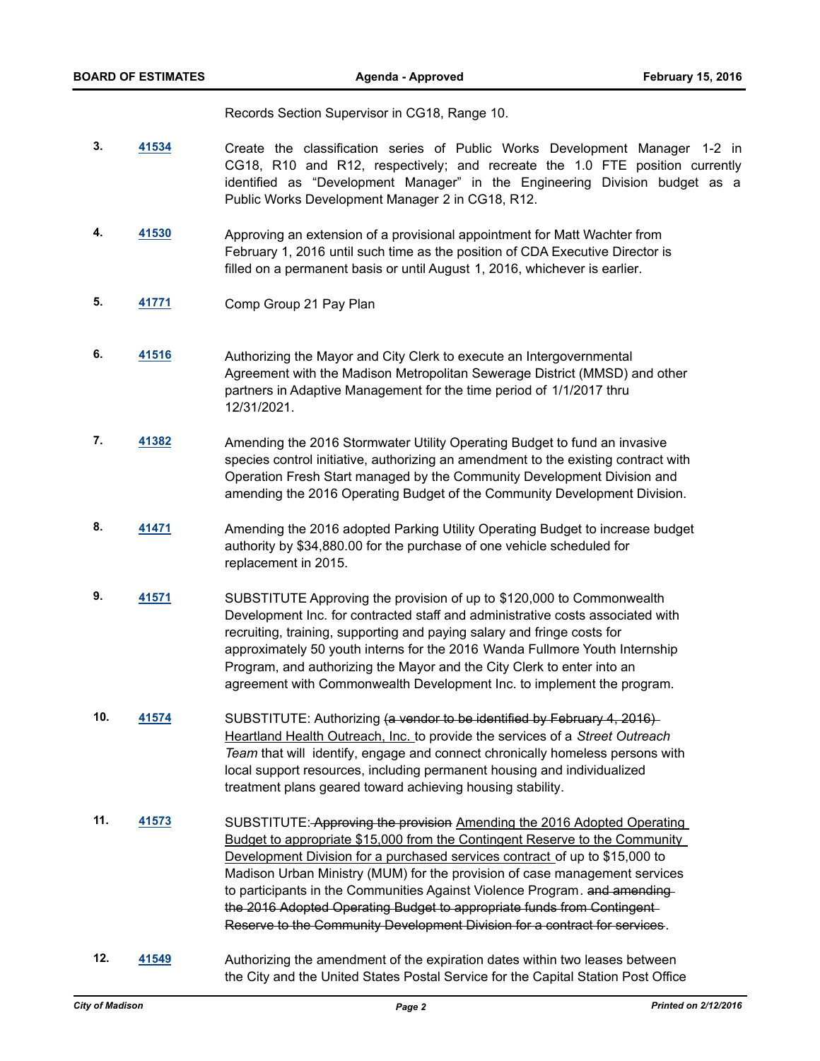Records Section Supervisor in CG18, Range 10.

- **3. [41534](http://madison.legistar.com/gateway.aspx?m=l&id=/matter.aspx?key=45927)** Create the classification series of Public Works Development Manager 1-2 in CG18, R10 and R12, respectively; and recreate the 1.0 FTE position currently identified as "Development Manager" in the Engineering Division budget as a Public Works Development Manager 2 in CG18, R12.
- **4. [41530](http://madison.legistar.com/gateway.aspx?m=l&id=/matter.aspx?key=45923)** Approving an extension of a provisional appointment for Matt Wachter from February 1, 2016 until such time as the position of CDA Executive Director is filled on a permanent basis or until August 1, 2016, whichever is earlier.
- **5. [41771](http://madison.legistar.com/gateway.aspx?m=l&id=/matter.aspx?key=46113)** Comp Group 21 Pay Plan
- **6. [41516](http://madison.legistar.com/gateway.aspx?m=l&id=/matter.aspx?key=45909)** Authorizing the Mayor and City Clerk to execute an Intergovernmental Agreement with the Madison Metropolitan Sewerage District (MMSD) and other partners in Adaptive Management for the time period of 1/1/2017 thru 12/31/2021.
- **7. [41382](http://madison.legistar.com/gateway.aspx?m=l&id=/matter.aspx?key=45794)** Amending the 2016 Stormwater Utility Operating Budget to fund an invasive species control initiative, authorizing an amendment to the existing contract with Operation Fresh Start managed by the Community Development Division and amending the 2016 Operating Budget of the Community Development Division.
- **8. [41471](http://madison.legistar.com/gateway.aspx?m=l&id=/matter.aspx?key=45872)** Amending the 2016 adopted Parking Utility Operating Budget to increase budget authority by \$34,880.00 for the purchase of one vehicle scheduled for replacement in 2015.
- **9. [41571](http://madison.legistar.com/gateway.aspx?m=l&id=/matter.aspx?key=45961)** SUBSTITUTE Approving the provision of up to \$120,000 to Commonwealth Development Inc. for contracted staff and administrative costs associated with recruiting, training, supporting and paying salary and fringe costs for approximately 50 youth interns for the 2016 Wanda Fullmore Youth Internship Program, and authorizing the Mayor and the City Clerk to enter into an agreement with Commonwealth Development Inc. to implement the program.
- **10. [41574](http://madison.legistar.com/gateway.aspx?m=l&id=/matter.aspx?key=45964)** SUBSTITUTE: Authorizing (a vendor to be identified by February 4, 2016) Heartland Health Outreach, Inc. to provide the services of a *Street Outreach Team* that will identify, engage and connect chronically homeless persons with local support resources, including permanent housing and individualized treatment plans geared toward achieving housing stability.
- **11. [41573](http://madison.legistar.com/gateway.aspx?m=l&id=/matter.aspx?key=45963)** SUBSTITUTE: Approving the provision Amending the 2016 Adopted Operating Budget to appropriate \$15,000 from the Contingent Reserve to the Community Development Division for a purchased services contract of up to \$15,000 to Madison Urban Ministry (MUM) for the provision of case management services to participants in the Communities Against Violence Program. and amendingthe 2016 Adopted Operating Budget to appropriate funds from Contingent Reserve to the Community Development Division for a contract for services.
- **12. [41549](http://madison.legistar.com/gateway.aspx?m=l&id=/matter.aspx?key=45942)** Authorizing the amendment of the expiration dates within two leases between the City and the United States Postal Service for the Capital Station Post Office